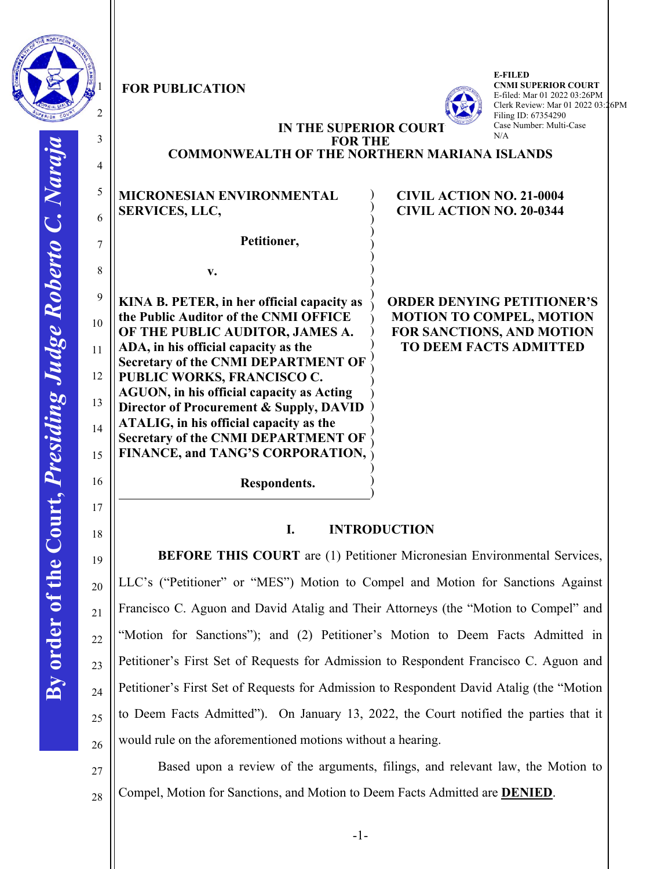

3

4

5

6

7

8

9

10

11

12

13

14

15

16

17

18

19

20

21

22

23

24

25

26

27

28

## **FOR PUBLICATION**

**v.** 



**E-FILED CNMI SUPERIOR COURT** E-filed: Mar 01 2022 03:26PM Clerk Review: Mar 01 2022 03:26PM Filing ID: 67354290 Case Number: Multi-Case N/A

## **IN THE SUPERIOR COURT FOR THE**

) ) ) ) ) ) )  $)$ 

# **COMMONWEALTH OF THE NORTHERN MARIANA ISLANDS**

# **MICRONESIAN ENVIRONMENTAL SERVICES, LLC,**

 **Petitioner,**

**KINA B. PETER, in her official capacity as the Public Auditor of the CNMI OFFICE OF THE PUBLIC AUDITOR, JAMES A. ADA, in his official capacity as the Secretary of the CNMI DEPARTMENT OF PUBLIC WORKS, FRANCISCO C. AGUON, in his official capacity as Acting Director of Procurement & Supply, DAVID ATALIG, in his official capacity as the Secretary of the CNMI DEPARTMENT OF FINANCE, and TANG'S CORPORATION,**  ) ) ) ) ) ) ) ) ) ) ) ) ) ) )

## **CIVIL ACTION NO. 21-0004 CIVIL ACTION NO. 20-0344**

**ORDER DENYING PETITIONER'S MOTION TO COMPEL, MOTION FOR SANCTIONS, AND MOTION TO DEEM FACTS ADMITTED**

 **Respondents.**

# **I. INTRODUCTION**

) )

**BEFORE THIS COURT** are (1) Petitioner Micronesian Environmental Services, LLC's ("Petitioner" or "MES") Motion to Compel and Motion for Sanctions Against Francisco C. Aguon and David Atalig and Their Attorneys (the "Motion to Compel" and "Motion for Sanctions"); and (2) Petitioner's Motion to Deem Facts Admitted in Petitioner's First Set of Requests for Admission to Respondent Francisco C. Aguon and Petitioner's First Set of Requests for Admission to Respondent David Atalig (the "Motion to Deem Facts Admitted"). On January 13, 2022, the Court notified the parties that it would rule on the aforementioned motions without a hearing.

Based upon a review of the arguments, filings, and relevant law, the Motion to Compel, Motion for Sanctions, and Motion to Deem Facts Admitted are **DENIED**.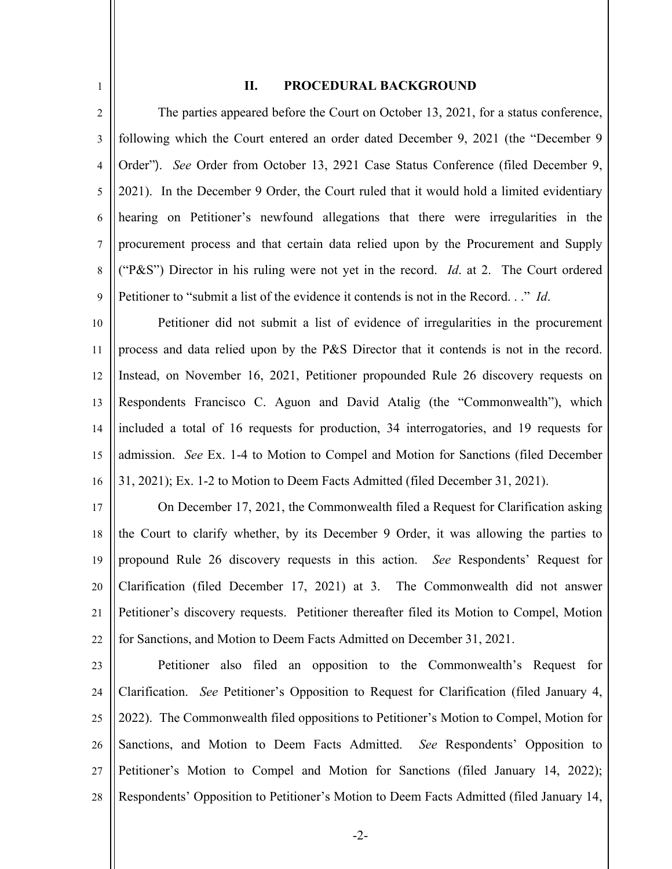#### **II. PROCEDURAL BACKGROUND**

1

2 3 4 5 6 7 8 9 The parties appeared before the Court on October 13, 2021, for a status conference, following which the Court entered an order dated December 9, 2021 (the "December 9 Order"). *See* Order from October 13, 2921 Case Status Conference (filed December 9, 2021). In the December 9 Order, the Court ruled that it would hold a limited evidentiary hearing on Petitioner's newfound allegations that there were irregularities in the procurement process and that certain data relied upon by the Procurement and Supply ("P&S") Director in his ruling were not yet in the record. *Id*. at 2. The Court ordered Petitioner to "submit a list of the evidence it contends is not in the Record. . ." *Id*.

10 11 12 13 14 15 16 Petitioner did not submit a list of evidence of irregularities in the procurement process and data relied upon by the P&S Director that it contends is not in the record. Instead, on November 16, 2021, Petitioner propounded Rule 26 discovery requests on Respondents Francisco C. Aguon and David Atalig (the "Commonwealth"), which included a total of 16 requests for production, 34 interrogatories, and 19 requests for admission. *See* Ex. 1-4 to Motion to Compel and Motion for Sanctions (filed December 31, 2021); Ex. 1-2 to Motion to Deem Facts Admitted (filed December 31, 2021).

17 18 19 20 21 22 On December 17, 2021, the Commonwealth filed a Request for Clarification asking the Court to clarify whether, by its December 9 Order, it was allowing the parties to propound Rule 26 discovery requests in this action. *See* Respondents' Request for Clarification (filed December 17, 2021) at 3. The Commonwealth did not answer Petitioner's discovery requests. Petitioner thereafter filed its Motion to Compel, Motion for Sanctions, and Motion to Deem Facts Admitted on December 31, 2021.

23 24 25 26 27 28 Petitioner also filed an opposition to the Commonwealth's Request for Clarification. *See* Petitioner's Opposition to Request for Clarification (filed January 4, 2022). The Commonwealth filed oppositions to Petitioner's Motion to Compel, Motion for Sanctions, and Motion to Deem Facts Admitted. *See* Respondents' Opposition to Petitioner's Motion to Compel and Motion for Sanctions (filed January 14, 2022); Respondents' Opposition to Petitioner's Motion to Deem Facts Admitted (filed January 14,

-2-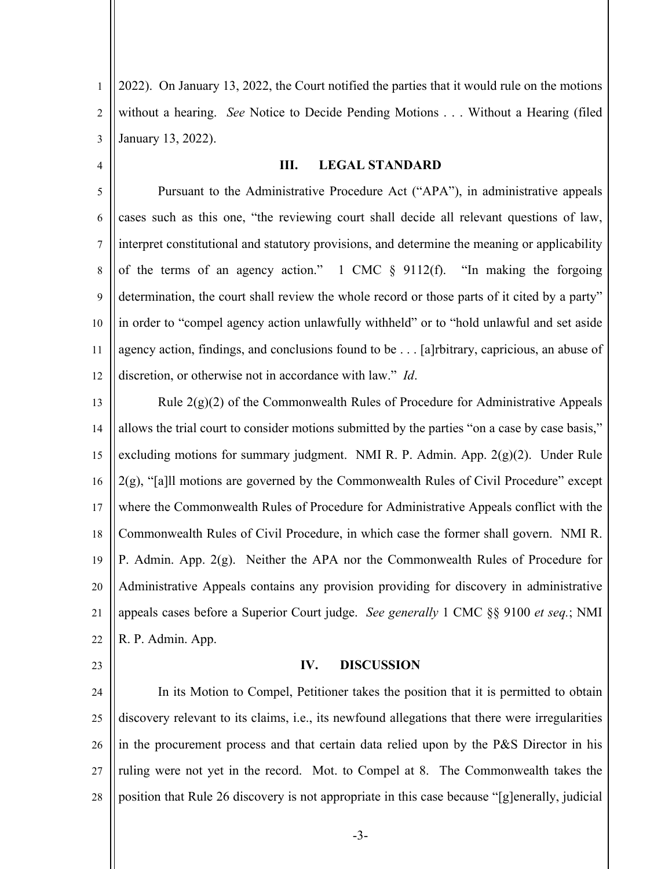1 2 3 2022). On January 13, 2022, the Court notified the parties that it would rule on the motions without a hearing. *See* Notice to Decide Pending Motions . . . Without a Hearing (filed January 13, 2022).

4

#### **III. LEGAL STANDARD**

5 6 7 8 9 10 11 12 Pursuant to the Administrative Procedure Act ("APA"), in administrative appeals cases such as this one, "the reviewing court shall decide all relevant questions of law, interpret constitutional and statutory provisions, and determine the meaning or applicability of the terms of an agency action."  $1 \text{ CMC } \S$  9112(f). "In making the forgoing determination, the court shall review the whole record or those parts of it cited by a party" in order to "compel agency action unlawfully withheld" or to "hold unlawful and set aside agency action, findings, and conclusions found to be . . . [a]rbitrary, capricious, an abuse of discretion, or otherwise not in accordance with law." *Id*.

13 14 15 16 17 18 19 20 21 22 Rule 2(g)(2) of the Commonwealth Rules of Procedure for Administrative Appeals allows the trial court to consider motions submitted by the parties "on a case by case basis," excluding motions for summary judgment. NMI R. P. Admin. App. 2(g)(2). Under Rule 2(g), "[a]ll motions are governed by the Commonwealth Rules of Civil Procedure" except where the Commonwealth Rules of Procedure for Administrative Appeals conflict with the Commonwealth Rules of Civil Procedure, in which case the former shall govern. NMI R. P. Admin. App. 2(g). Neither the APA nor the Commonwealth Rules of Procedure for Administrative Appeals contains any provision providing for discovery in administrative appeals cases before a Superior Court judge. *See generally* 1 CMC §§ 9100 *et seq.*; NMI R. P. Admin. App.

23

### **IV. DISCUSSION**

24 25 26 27 28 In its Motion to Compel, Petitioner takes the position that it is permitted to obtain discovery relevant to its claims, i.e., its newfound allegations that there were irregularities in the procurement process and that certain data relied upon by the P&S Director in his ruling were not yet in the record. Mot. to Compel at 8. The Commonwealth takes the position that Rule 26 discovery is not appropriate in this case because "[g]enerally, judicial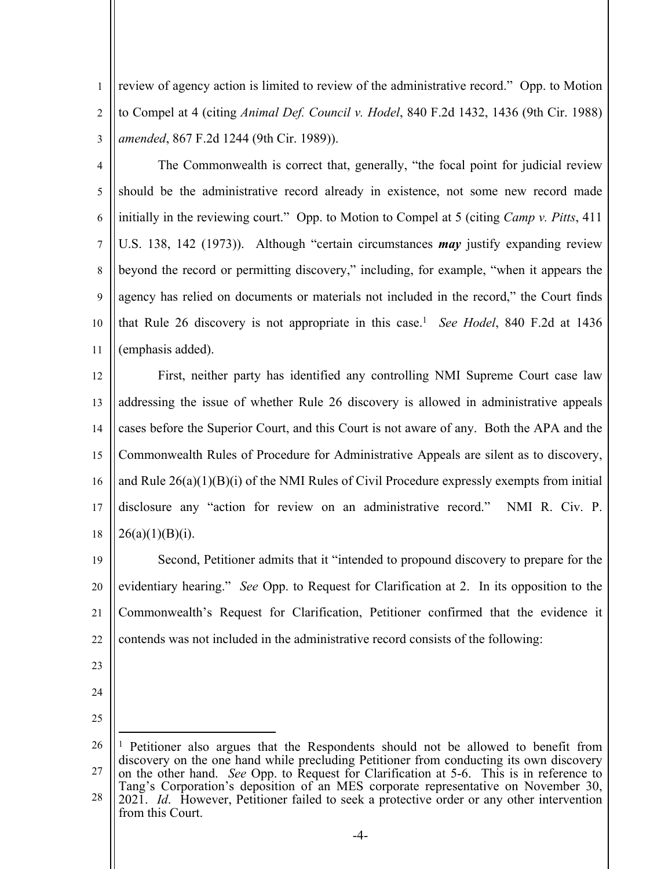2 3 review of agency action is limited to review of the administrative record." Opp. to Motion to Compel at 4 (citing *Animal Def. Council v. Hodel*, 840 F.2d 1432, 1436 (9th Cir. 1988) *amended*, 867 F.2d 1244 (9th Cir. 1989)).

4

5

7

8

9

10

11

1

6 The Commonwealth is correct that, generally, "the focal point for judicial review should be the administrative record already in existence, not some new record made initially in the reviewing court." Opp. to Motion to Compel at 5 (citing *Camp v. Pitts*, 411 U.S. 138, 142 (1973)). Although "certain circumstances *may* justify expanding review beyond the record or permitting discovery," including, for example, "when it appears the agency has relied on documents or materials not included in the record," the Court finds that Rule 26 discovery is not appropriate in this case.<sup>1</sup> *See Hodel*, 840 F.2d at 1436 (emphasis added).

12 13 14 15 16 17 18 First, neither party has identified any controlling NMI Supreme Court case law addressing the issue of whether Rule 26 discovery is allowed in administrative appeals cases before the Superior Court, and this Court is not aware of any. Both the APA and the Commonwealth Rules of Procedure for Administrative Appeals are silent as to discovery, and Rule  $26(a)(1)(B)(i)$  of the NMI Rules of Civil Procedure expressly exempts from initial disclosure any "action for review on an administrative record." NMI R. Civ. P.  $26(a)(1)(B)(i)$ .

19 20 21 22 Second, Petitioner admits that it "intended to propound discovery to prepare for the evidentiary hearing." *See* Opp. to Request for Clarification at 2. In its opposition to the Commonwealth's Request for Clarification, Petitioner confirmed that the evidence it contends was not included in the administrative record consists of the following:

- 23
- 24 25

<sup>26</sup> 27 28 <sup>1</sup> Petitioner also argues that the Respondents should not be allowed to benefit from discovery on the one hand while precluding Petitioner from conducting its own discovery on the other hand. *See* Opp. to Request for Clarification at 5-6. This is in reference to Tang's Corporation's deposition of an MES corporate representative on November 30, 2021. *Id*. However, Petitioner failed to seek a protective order or any other intervention from this Court.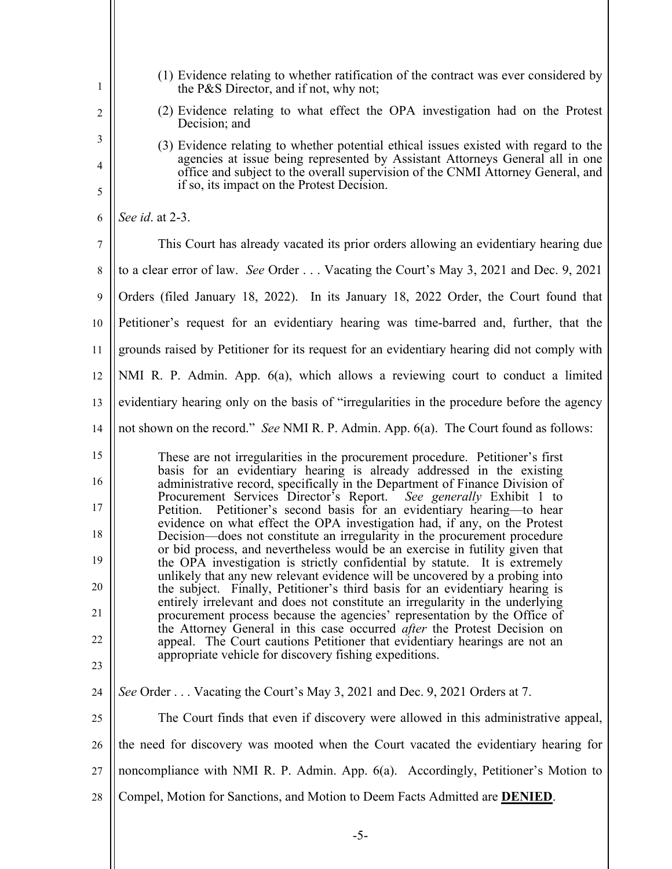| 1              | (1) Evidence relating to whether ratification of the contract was ever considered by<br>the P&S Director, and if not, why not;                                                                                 |
|----------------|----------------------------------------------------------------------------------------------------------------------------------------------------------------------------------------------------------------|
| $\overline{2}$ | (2) Evidence relating to what effect the OPA investigation had on the Protest<br>Decision; and                                                                                                                 |
| 3              | (3) Evidence relating to whether potential ethical issues existed with regard to the                                                                                                                           |
| 4<br>5         | agencies at issue being represented by Assistant Attorneys General all in one<br>office and subject to the overall supervision of the CNMI Attorney General, and<br>if so, its impact on the Protest Decision. |
| 6              | See id. at 2-3.                                                                                                                                                                                                |
| 7              | This Court has already vacated its prior orders allowing an evidentiary hearing due                                                                                                                            |
| 8              | to a clear error of law. See Order Vacating the Court's May 3, 2021 and Dec. 9, 2021                                                                                                                           |
| 9              | Orders (filed January 18, 2022). In its January 18, 2022 Order, the Court found that                                                                                                                           |
| 10             | Petitioner's request for an evidentiary hearing was time-barred and, further, that the                                                                                                                         |
| 11             | grounds raised by Petitioner for its request for an evidentiary hearing did not comply with                                                                                                                    |
| 12             | NMI R. P. Admin. App. 6(a), which allows a reviewing court to conduct a limited                                                                                                                                |
| 13             | evidentiary hearing only on the basis of "irregularities in the procedure before the agency                                                                                                                    |
| 14             | not shown on the record." See NMI R. P. Admin. App. 6(a). The Court found as follows:                                                                                                                          |
| 15             | These are not irregularities in the procurement procedure. Petitioner's first                                                                                                                                  |
| 16             | basis for an evidentiary hearing is already addressed in the existing<br>administrative record, specifically in the Department of Finance Division of                                                          |
| 17             | Procurement Services Director's Report. See generally Exhibit 1 to<br>Petitioner's second basis for an evidentiary hearing-to hear<br>Petition.                                                                |
| 18             | evidence on what effect the OPA investigation had, if any, on the Protest<br>Decision—does not constitute an irregularity in the procurement procedure                                                         |
| 19             | or bid process, and nevertheless would be an exercise in futility given that<br>the OPA investigation is strictly confidential by statute. It is extremely                                                     |
| 20             | unlikely that any new relevant evidence will be uncovered by a probing into<br>the subject. Finally, Petitioner's third basis for an evidentiary hearing is                                                    |
| 21             | entirely irrelevant and does not constitute an irregularity in the underlying<br>procurement process because the agencies' representation by the Office of                                                     |
| 22             | the Attorney General in this case occurred <i>after</i> the Protest Decision on<br>appeal. The Court cautions Petitioner that evidentiary hearings are not an                                                  |
| 23             | appropriate vehicle for discovery fishing expeditions.                                                                                                                                                         |
| 24             | See Order  Vacating the Court's May 3, 2021 and Dec. 9, 2021 Orders at 7.                                                                                                                                      |
| 25             | The Court finds that even if discovery were allowed in this administrative appeal,                                                                                                                             |
| 26             | the need for discovery was mooted when the Court vacated the evidentiary hearing for                                                                                                                           |
| 27             | noncompliance with NMI R. P. Admin. App. 6(a). Accordingly, Petitioner's Motion to                                                                                                                             |
| 28             | Compel, Motion for Sanctions, and Motion to Deem Facts Admitted are <b>DENIED</b> .                                                                                                                            |
|                |                                                                                                                                                                                                                |